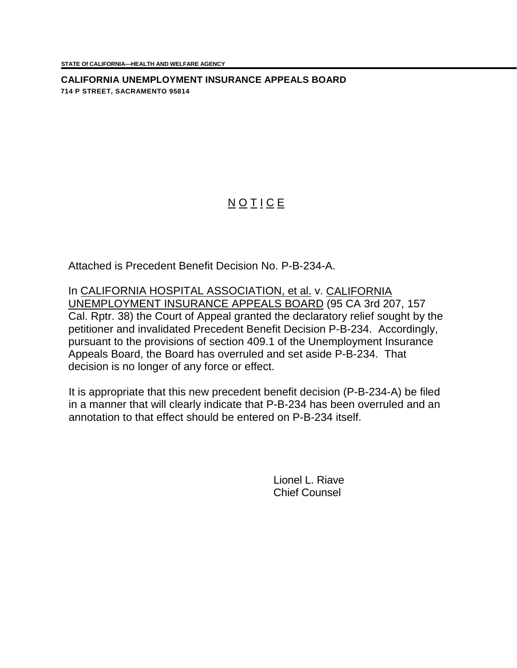**CALIFORNIA UNEMPLOYMENT INSURANCE APPEALS BOARD 714 P STREET, SACRAMENTO 95814**

## **NOTICE**

Attached is Precedent Benefit Decision No. P-B-234-A.

In CALIFORNIA HOSPITAL ASSOCIATION, et al. v. CALIFORNIA UNEMPLOYMENT INSURANCE APPEALS BOARD (95 CA 3rd 207, 157 Cal. Rptr. 38) the Court of Appeal granted the declaratory relief sought by the petitioner and invalidated Precedent Benefit Decision P-B-234. Accordingly, pursuant to the provisions of section 409.1 of the Unemployment Insurance Appeals Board, the Board has overruled and set aside P-B-234. That decision is no longer of any force or effect.

It is appropriate that this new precedent benefit decision (P-B-234-A) be filed in a manner that will clearly indicate that P-B-234 has been overruled and an annotation to that effect should be entered on P-B-234 itself.

> Lionel L. Riave Chief Counsel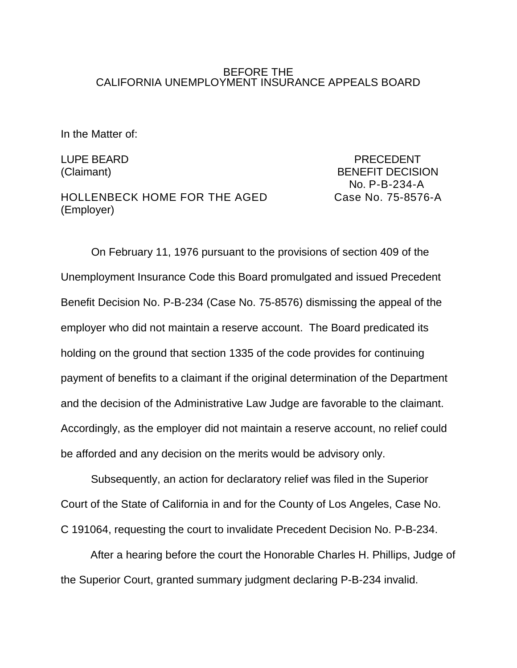## BEFORE THE CALIFORNIA UNEMPLOYMENT INSURANCE APPEALS BOARD

In the Matter of:

HOLLENBECK HOME FOR THE AGED Case No. 75-8576-A (Employer)

LUPE BEARD PRECEDENT (Claimant) BENEFIT DECISION No. P-B-234-A

On February 11, 1976 pursuant to the provisions of section 409 of the Unemployment Insurance Code this Board promulgated and issued Precedent Benefit Decision No. P-B-234 (Case No. 75-8576) dismissing the appeal of the employer who did not maintain a reserve account. The Board predicated its holding on the ground that section 1335 of the code provides for continuing payment of benefits to a claimant if the original determination of the Department and the decision of the Administrative Law Judge are favorable to the claimant. Accordingly, as the employer did not maintain a reserve account, no relief could be afforded and any decision on the merits would be advisory only.

Subsequently, an action for declaratory relief was filed in the Superior Court of the State of California in and for the County of Los Angeles, Case No. C 191064, requesting the court to invalidate Precedent Decision No. P-B-234.

After a hearing before the court the Honorable Charles H. Phillips, Judge of the Superior Court, granted summary judgment declaring P-B-234 invalid.